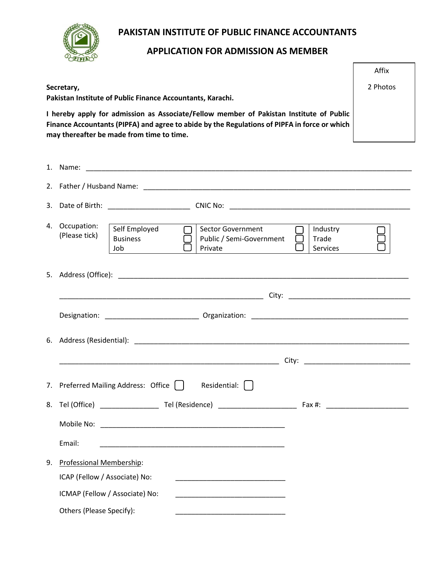

# **PAKISTAN INSTITUTE OF PUBLIC FINANCE ACCOUNTANTS**

# **APPLICATION FOR ADMISSION AS MEMBER**

|                                                            |                                                                                                                                                                                                                                      | Affix    |  |  |
|------------------------------------------------------------|--------------------------------------------------------------------------------------------------------------------------------------------------------------------------------------------------------------------------------------|----------|--|--|
|                                                            | Secretary,                                                                                                                                                                                                                           | 2 Photos |  |  |
| Pakistan Institute of Public Finance Accountants, Karachi. |                                                                                                                                                                                                                                      |          |  |  |
|                                                            | I hereby apply for admission as Associate/Fellow member of Pakistan Institute of Public<br>Finance Accountants (PIPFA) and agree to abide by the Regulations of PIPFA in force or which<br>may thereafter be made from time to time. |          |  |  |
|                                                            |                                                                                                                                                                                                                                      |          |  |  |
|                                                            |                                                                                                                                                                                                                                      |          |  |  |
| 3.                                                         |                                                                                                                                                                                                                                      |          |  |  |
|                                                            | 4. Occupation:<br>Self Employed<br><b>Sector Government</b><br>Industry<br>(Please tick)<br><b>Business</b><br>Public / Semi-Government<br>Trade<br>Job<br>Private<br>Services                                                       |          |  |  |
|                                                            |                                                                                                                                                                                                                                      |          |  |  |
|                                                            |                                                                                                                                                                                                                                      |          |  |  |
|                                                            |                                                                                                                                                                                                                                      |          |  |  |
|                                                            | 6. Address (Residential): 2008 2009 2010 2020 2021 2022 2023 2024 2022 2023 2024 2022 2023 2024 2022 2023 2024                                                                                                                       |          |  |  |
|                                                            |                                                                                                                                                                                                                                      |          |  |  |
|                                                            | 7. Preferred Mailing Address: Office $\bigcap$ Residential: $\bigcap$                                                                                                                                                                |          |  |  |
| 8.                                                         |                                                                                                                                                                                                                                      |          |  |  |
|                                                            |                                                                                                                                                                                                                                      |          |  |  |
|                                                            | Email:<br><u> 1989 - Johann Stoff, amerikansk politiker (d. 1989)</u>                                                                                                                                                                |          |  |  |
| 9.                                                         | Professional Membership:                                                                                                                                                                                                             |          |  |  |
|                                                            | ICAP (Fellow / Associate) No:<br><u> 1980 - Johann Harry Harry Harry Harry Harry Harry Harry Harry Harry Harry Harry Harry Harry Harry Harry Harry</u>                                                                               |          |  |  |
|                                                            | ICMAP (Fellow / Associate) No:<br><u> 1989 - Johann Harry Harry Harry Harry Harry Harry Harry Harry Harry Harry Harry Harry Harry Harry Harry Harry</u>                                                                              |          |  |  |
|                                                            | Others (Please Specify):                                                                                                                                                                                                             |          |  |  |